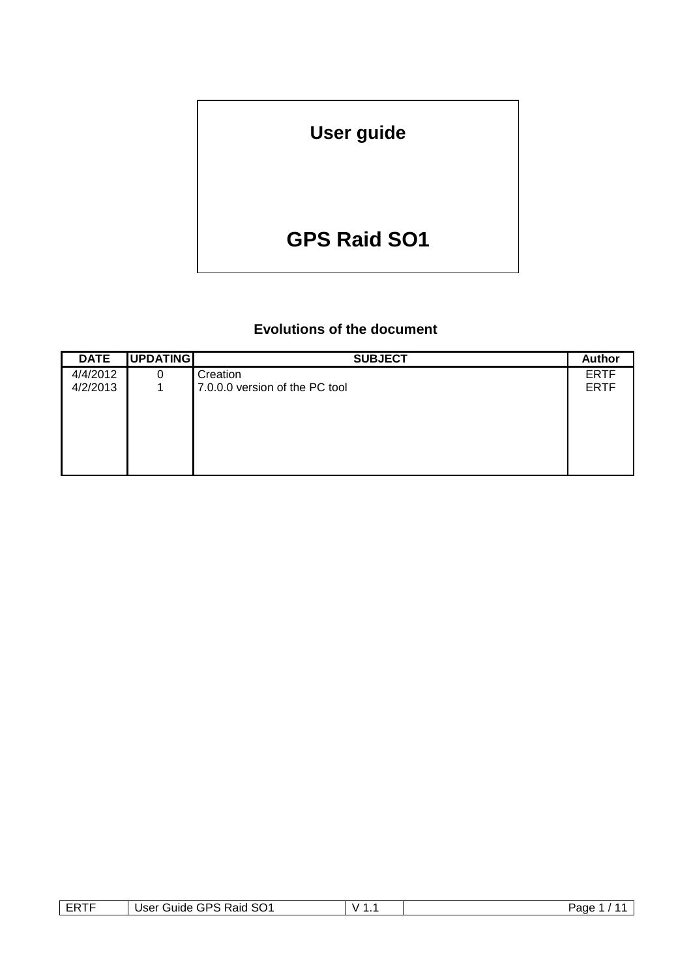# **User guide**

# **GPS Raid SO1**

# **Evolutions of the document**

| <b>DATE</b> | UPDATING | <b>SUBJECT</b>                 | <b>Author</b> |
|-------------|----------|--------------------------------|---------------|
| 4/4/2012    | 0        | Creation                       | <b>ERTF</b>   |
| 4/2/2013    |          | 7.0.0.0 version of the PC tool | <b>ERTF</b>   |
|             |          |                                |               |
|             |          |                                |               |
|             |          |                                |               |
|             |          |                                |               |
|             |          |                                |               |
|             |          |                                |               |

| ----<br>⊢₩ | SO <sub>1</sub><br>User<br>-GPS<br><b>Raid</b><br>′ uldeت | v | Page |
|------------|-----------------------------------------------------------|---|------|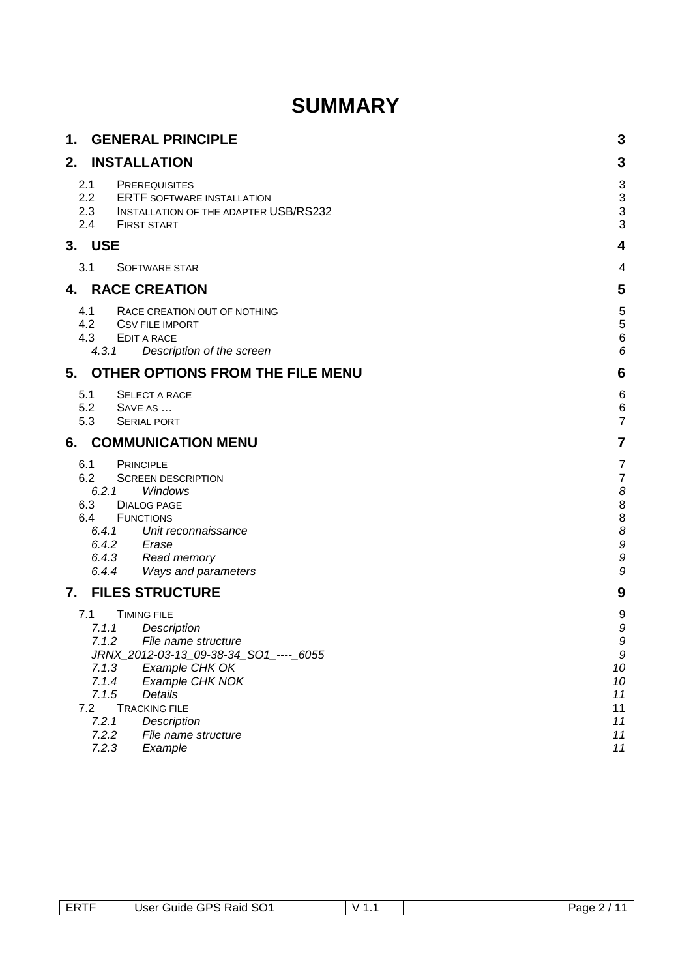# **SUMMARY**

| 1.                       | <b>GENERAL PRINCIPLE</b>                                                                                                                                                                                                                                                                                           | 3                                                                   |
|--------------------------|--------------------------------------------------------------------------------------------------------------------------------------------------------------------------------------------------------------------------------------------------------------------------------------------------------------------|---------------------------------------------------------------------|
| 2.                       | <b>INSTALLATION</b>                                                                                                                                                                                                                                                                                                | 3                                                                   |
| 2.1<br>2.4               | <b>PREREQUISITES</b><br>2.2<br><b>ERTF SOFTWARE INSTALLATION</b><br>2.3<br><b>INSTALLATION OF THE ADAPTER USB/RS232</b><br><b>FIRST START</b>                                                                                                                                                                      | 3<br>3<br>3<br>3                                                    |
| 3.                       | <b>USE</b>                                                                                                                                                                                                                                                                                                         | 4                                                                   |
| 3.1                      | <b>SOFTWARE STAR</b>                                                                                                                                                                                                                                                                                               | 4                                                                   |
| 4.                       | <b>RACE CREATION</b>                                                                                                                                                                                                                                                                                               | 5                                                                   |
| 4.1<br>4.3               | RACE CREATION OUT OF NOTHING<br>4.2<br><b>CSV FILE IMPORT</b><br>EDIT A RACE<br>4.3.1<br>Description of the screen                                                                                                                                                                                                 | $\frac{5}{5}$<br>$\overline{6}$<br>6                                |
| 5.                       | OTHER OPTIONS FROM THE FILE MENU                                                                                                                                                                                                                                                                                   | 6                                                                   |
| 5.1<br>5.3               | <b>SELECT A RACE</b><br>5.2<br>SAVE AS<br><b>SERIAL PORT</b>                                                                                                                                                                                                                                                       | 6<br>$\,$ 6 $\,$<br>$\overline{7}$                                  |
| 6.                       | <b>COMMUNICATION MENU</b>                                                                                                                                                                                                                                                                                          | $\overline{7}$                                                      |
| 6.1<br>6.2<br>6.3<br>6.4 | <b>PRINCIPLE</b><br><b>SCREEN DESCRIPTION</b><br>6.2.1<br>Windows<br><b>DIALOG PAGE</b><br><b>FUNCTIONS</b><br>6.4.1<br>Unit reconnaissance<br>Erase<br>6.4.2<br>Read memory<br>6.4.3<br>6.4.4<br>Ways and parameters                                                                                              | $\overline{7}$<br>$\overline{7}$<br>8<br>8<br>8<br>8<br>9<br>9<br>9 |
| 7.                       | <b>FILES STRUCTURE</b>                                                                                                                                                                                                                                                                                             | 9                                                                   |
| 7.1                      | <b>TIMING FILE</b><br>7.1.1<br>Description<br>7.1.2<br>File name structure<br>JRNX_2012-03-13_09-38-34_SO1_----_ 6055<br>7.1.3<br>Example CHK OK<br>7.1.4<br>Example CHK NOK<br>7.1.5<br><b>Details</b><br>7.2<br><b>TRACKING FILE</b><br>7.2.1<br>Description<br>7.2.2<br>File name structure<br>7.2.3<br>Example | 9<br>9<br>9<br>9<br>10<br>10<br>11<br>11<br>11<br>11<br>11          |

| ___<br>$\cdot$ DC $\cdot$<br>$\cdot$<br><u>ли</u><br>Jser<br>abiri<br>Raid<br>v<br>ುಂ<br>--<br>חנ<br>--- | Page |
|----------------------------------------------------------------------------------------------------------|------|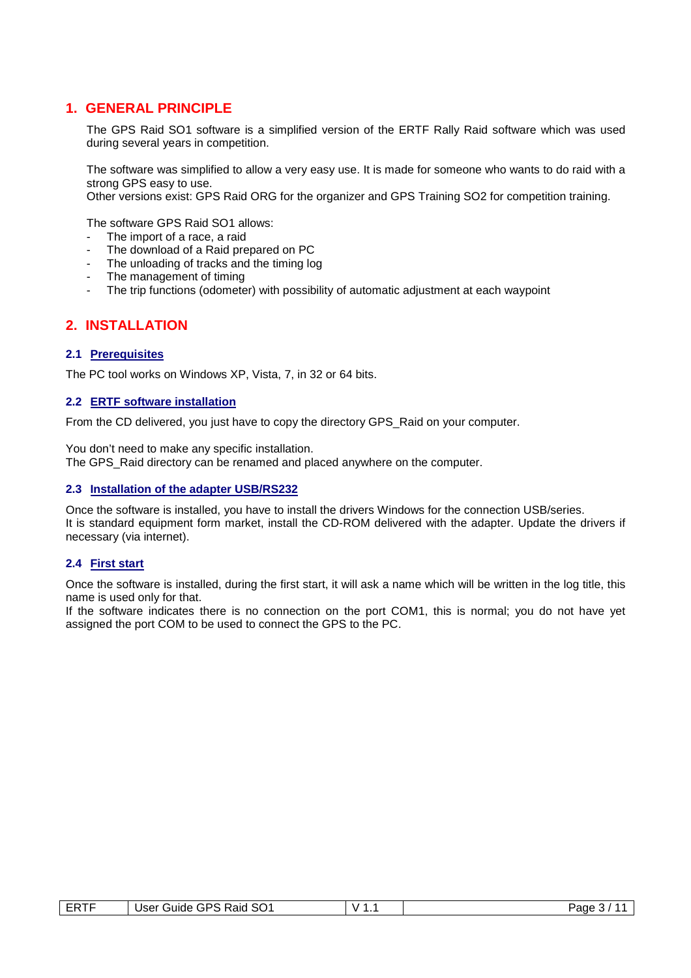## **1. GENERAL PRINCIPLE**

The GPS Raid SO1 software is a simplified version of the ERTF Rally Raid software which was used during several years in competition.

The software was simplified to allow a very easy use. It is made for someone who wants to do raid with a strong GPS easy to use.

Other versions exist: GPS Raid ORG for the organizer and GPS Training SO2 for competition training.

The software GPS Raid SO1 allows:

- The import of a race, a raid
- The download of a Raid prepared on PC
- The unloading of tracks and the timing log
- The management of timing
- The trip functions (odometer) with possibility of automatic adjustment at each waypoint

## **2. INSTALLATION**

#### **2.1 Prerequisites**

The PC tool works on Windows XP, Vista, 7, in 32 or 64 bits.

### **2.2 ERTF software installation**

From the CD delivered, you just have to copy the directory GPS\_Raid on your computer.

You don't need to make any specific installation.

The GPS\_Raid directory can be renamed and placed anywhere on the computer.

#### **2.3 Installation of the adapter USB/RS232**

Once the software is installed, you have to install the drivers Windows for the connection USB/series. It is standard equipment form market, install the CD-ROM delivered with the adapter. Update the drivers if necessary (via internet).

#### **2.4 First start**

Once the software is installed, during the first start, it will ask a name which will be written in the log title, this name is used only for that.

If the software indicates there is no connection on the port COM1, this is normal; you do not have yet assigned the port COM to be used to connect the GPS to the PC.

| $- - - -$<br>--<br>-- | $\sim$<br>D.<br>≺aıd<br>Buide<br>User<br>יכ<br>שפ<br>∼<br>____ | Page |
|-----------------------|----------------------------------------------------------------|------|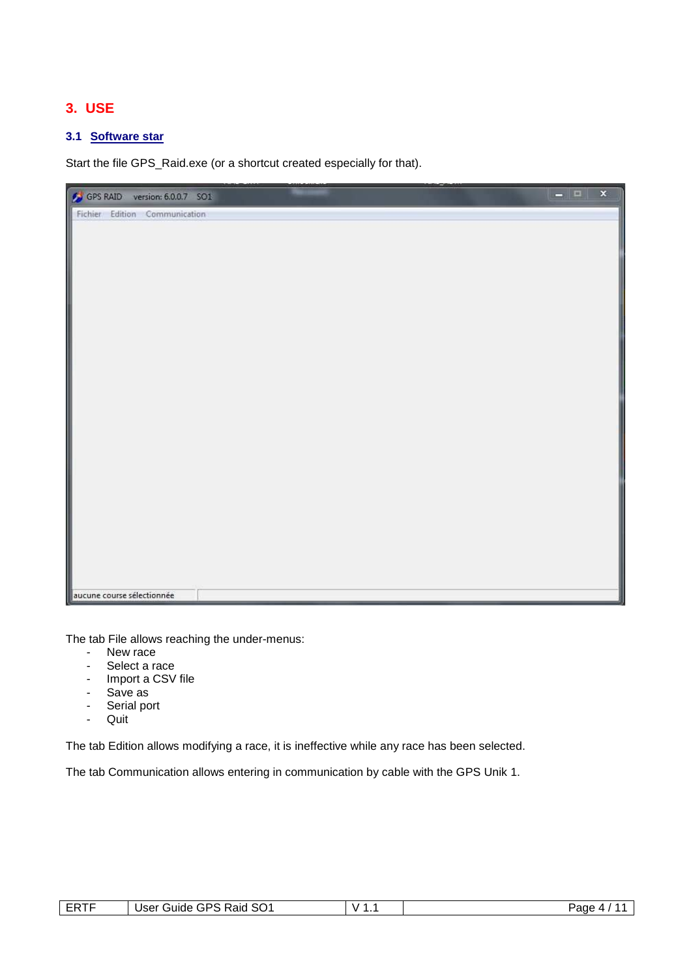# **3. USE**

## **3.1 Software star**

Start the file GPS\_Raid.exe (or a shortcut created especially for that).



The tab File allows reaching the under-menus:

- New race
- Select a race
- Import a CSV file
- Save as
- Serial port
- Quit

The tab Edition allows modifying a race, it is ineffective while any race has been selected.

The tab Communication allows entering in communication by cable with the GPS Unik 1.

| <b>FRTF</b><br>. | Raid SO1<br>GPS<br>suide '<br>∪ser ⊆<br>. | $\mathbf{v}$<br>. . | Paαe<br>. ~უ |
|------------------|-------------------------------------------|---------------------|--------------|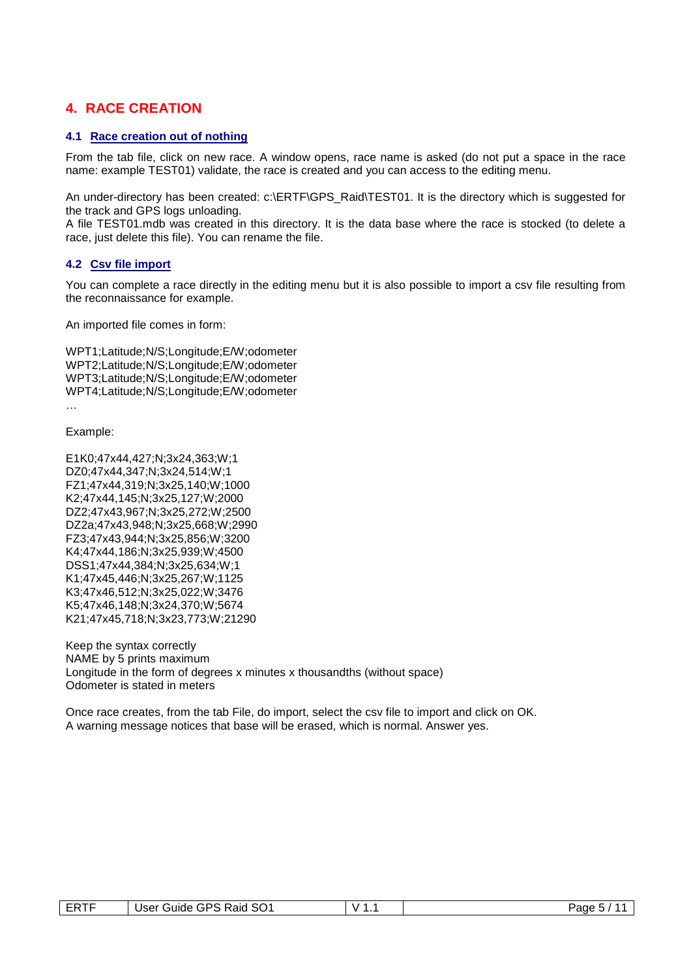# **4. RACE CREATION**

#### **4.1 Race creation out of nothing**

From the tab file, click on new race. A window opens, race name is asked (do not put a space in the race name: example TEST01) validate, the race is created and you can access to the editing menu.

An under-directory has been created: c:\ERTF\GPS\_Raid\TEST01. It is the directory which is suggested for the track and GPS logs unloading.

A file TEST01.mdb was created in this directory. It is the data base where the race is stocked (to delete a race, just delete this file). You can rename the file.

#### **4.2 Csv file import**

You can complete a race directly in the editing menu but it is also possible to import a csv file resulting from the reconnaissance for example.

An imported file comes in form:

WPT1;Latitude;N/S;Longitude;E/W;odometer WPT2;Latitude;N/S;Longitude;E/W;odometer WPT3;Latitude;N/S;Longitude;E/W;odometer WPT4;Latitude;N/S;Longitude;E/W;odometer …

Example:

E1K0;47x44,427;N;3x24,363;W;1 DZ0;47x44,347;N;3x24,514;W;1 FZ1;47x44,319;N;3x25,140;W;1000 K2;47x44,145;N;3x25,127;W;2000 DZ2;47x43,967;N;3x25,272;W;2500 DZ2a;47x43,948;N;3x25,668;W;2990 FZ3;47x43,944;N;3x25,856;W;3200 K4;47x44,186;N;3x25,939;W;4500 DSS1;47x44,384;N;3x25,634;W;1 K1;47x45,446;N;3x25,267;W;1125 K3;47x46,512;N;3x25,022;W;3476 K5;47x46,148;N;3x24,370;W;5674 K21;47x45,718;N;3x23,773;W;21290

Keep the syntax correctly NAME by 5 prints maximum Longitude in the form of degrees x minutes x thousandths (without space) Odometer is stated in meters

Once race creates, from the tab File, do import, select the csv file to import and click on OK. A warning message notices that base will be erased, which is normal. Answer yes.

| <b>ERTF</b> | SO <sub>1</sub><br>Raid<br>GPS<br>User<br>′ uldeت<br>_____ | Page<br>. . |
|-------------|------------------------------------------------------------|-------------|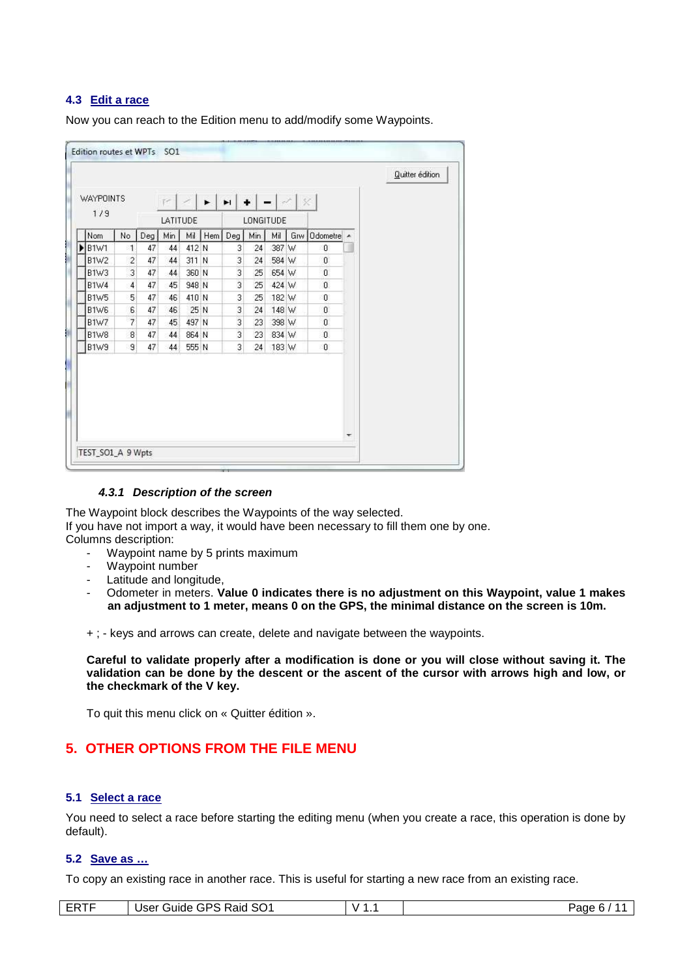#### **4.3 Edit a race**

Now you can reach to the Edition menu to add/modify some Waypoints.

| <b>WAYPOINTS</b><br>$\blacktriangleright$<br>$+$ $ \mathbb{R}$ $\times$<br>H<br>$F \times$<br>1/9<br>LATITUDE<br>LONGITUDE<br>Min<br>Мi<br>Min<br>Мi<br>No<br>Hem<br>Deg<br>Odometre A<br>Deg<br>Grw <sup>1</sup><br>Nom<br>412 N<br><b>B1W1</b><br>47<br>3<br>387 W<br>$\overline{1}$<br>44<br>24<br>$\theta$<br>$\overline{c}$<br>311 N<br>3<br>47<br>584 W<br><b>B1W2</b><br>44<br>24<br>$\mathbf{0}$<br>3<br>3<br>47<br>B1W3<br>360 N<br>44<br>25<br>654 W<br>$\overline{0}$<br>3<br><b>B1W4</b><br>4<br>47<br>948 N<br>45<br>25<br>424 W<br>$\mathbf{0}$<br>5<br>3<br>47<br><b>B1W5</b><br>46<br>410 N<br>25<br>0<br>182 W<br>6<br>3<br><b>B1W6</b><br>47<br>25 N<br>$\mathbf{0}$<br>46<br>24<br>148 W<br>3<br>$\overline{7}$<br>497 N<br><b>B1W7</b><br>47<br>45<br>23<br>398 W<br>$\overline{0}$<br>$\overline{3}$<br>$\boldsymbol{8}$<br>47<br><b>B1W8</b><br>44<br>864 N<br>23<br>$\mathbf{0}$<br>834 W<br>9<br>3<br>B1W9<br>47<br>44<br>555 N<br>24<br>183 W<br>$\theta$ |  |  |  |  |  |  | Quitter édition |
|------------------------------------------------------------------------------------------------------------------------------------------------------------------------------------------------------------------------------------------------------------------------------------------------------------------------------------------------------------------------------------------------------------------------------------------------------------------------------------------------------------------------------------------------------------------------------------------------------------------------------------------------------------------------------------------------------------------------------------------------------------------------------------------------------------------------------------------------------------------------------------------------------------------------------------------------------------------------------------|--|--|--|--|--|--|-----------------|
|                                                                                                                                                                                                                                                                                                                                                                                                                                                                                                                                                                                                                                                                                                                                                                                                                                                                                                                                                                                    |  |  |  |  |  |  |                 |
|                                                                                                                                                                                                                                                                                                                                                                                                                                                                                                                                                                                                                                                                                                                                                                                                                                                                                                                                                                                    |  |  |  |  |  |  |                 |
|                                                                                                                                                                                                                                                                                                                                                                                                                                                                                                                                                                                                                                                                                                                                                                                                                                                                                                                                                                                    |  |  |  |  |  |  |                 |
|                                                                                                                                                                                                                                                                                                                                                                                                                                                                                                                                                                                                                                                                                                                                                                                                                                                                                                                                                                                    |  |  |  |  |  |  |                 |
|                                                                                                                                                                                                                                                                                                                                                                                                                                                                                                                                                                                                                                                                                                                                                                                                                                                                                                                                                                                    |  |  |  |  |  |  |                 |
|                                                                                                                                                                                                                                                                                                                                                                                                                                                                                                                                                                                                                                                                                                                                                                                                                                                                                                                                                                                    |  |  |  |  |  |  |                 |
|                                                                                                                                                                                                                                                                                                                                                                                                                                                                                                                                                                                                                                                                                                                                                                                                                                                                                                                                                                                    |  |  |  |  |  |  |                 |
|                                                                                                                                                                                                                                                                                                                                                                                                                                                                                                                                                                                                                                                                                                                                                                                                                                                                                                                                                                                    |  |  |  |  |  |  |                 |
|                                                                                                                                                                                                                                                                                                                                                                                                                                                                                                                                                                                                                                                                                                                                                                                                                                                                                                                                                                                    |  |  |  |  |  |  |                 |
|                                                                                                                                                                                                                                                                                                                                                                                                                                                                                                                                                                                                                                                                                                                                                                                                                                                                                                                                                                                    |  |  |  |  |  |  |                 |
|                                                                                                                                                                                                                                                                                                                                                                                                                                                                                                                                                                                                                                                                                                                                                                                                                                                                                                                                                                                    |  |  |  |  |  |  |                 |
|                                                                                                                                                                                                                                                                                                                                                                                                                                                                                                                                                                                                                                                                                                                                                                                                                                                                                                                                                                                    |  |  |  |  |  |  |                 |
|                                                                                                                                                                                                                                                                                                                                                                                                                                                                                                                                                                                                                                                                                                                                                                                                                                                                                                                                                                                    |  |  |  |  |  |  |                 |

#### **4.3.1 Description of the screen**

The Waypoint block describes the Waypoints of the way selected. If you have not import a way, it would have been necessary to fill them one by one. Columns description:

- Waypoint name by 5 prints maximum
- Waypoint number
- Latitude and longitude.
- Odometer in meters. **Value 0 indicates there is no adjustment on this Waypoint, value 1 makes an adjustment to 1 meter, means 0 on the GPS, the minimal distance on the screen is 10m.**

+ ; - keys and arrows can create, delete and navigate between the waypoints.

**Careful to validate properly after a modification is done or you will close without saving it. The validation can be done by the descent or the ascent of the cursor with arrows high and low, or the checkmark of the V key.** 

To quit this menu click on « Quitter édition ».

## **5. OTHER OPTIONS FROM THE FILE MENU**

#### **5.1 Select a race**

You need to select a race before starting the editing menu (when you create a race, this operation is done by default).

### **5.2 Save as …**

To copy an existing race in another race. This is useful for starting a new race from an existing race.

| ----<br>- ⊷<br>---- | SO <sub>1</sub><br>. Raid<br>GPS.<br>User<br>Guide<br>$\overline{\phantom{a}}$ | $\mathbf{v}$<br>. . | Page<br>. .<br>-0 |
|---------------------|--------------------------------------------------------------------------------|---------------------|-------------------|
|---------------------|--------------------------------------------------------------------------------|---------------------|-------------------|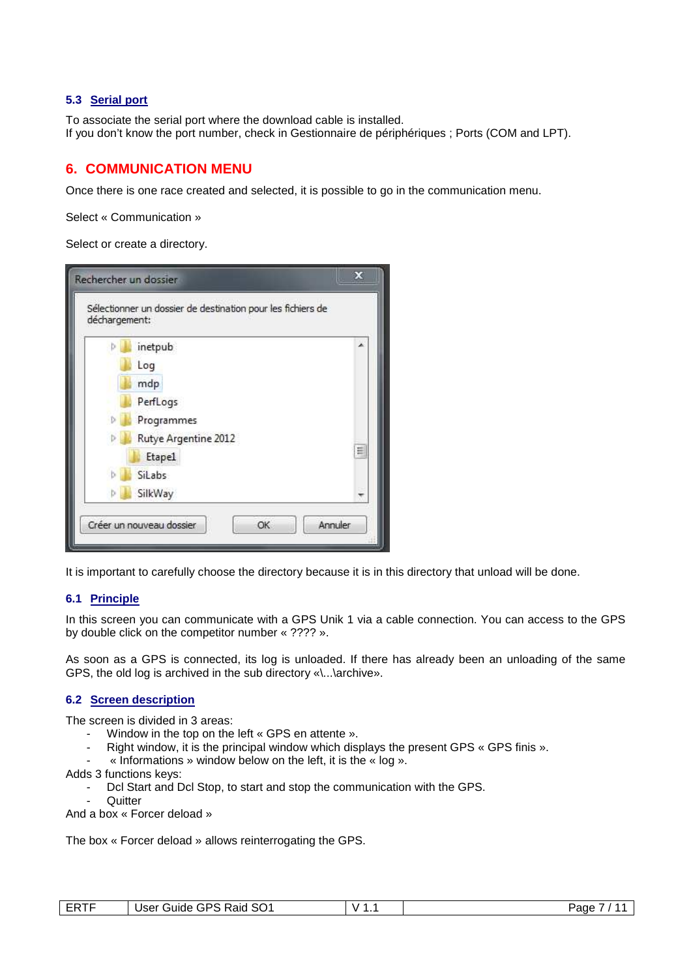#### **5.3 Serial port**

To associate the serial port where the download cable is installed. If you don't know the port number, check in Gestionnaire de périphériques ; Ports (COM and LPT).

# **6. COMMUNICATION MENU**

Once there is one race created and selected, it is possible to go in the communication menu.

Select « Communication »

Select or create a directory.

| déchargement: | Sélectionner un dossier de destination pour les fichiers de |   |
|---------------|-------------------------------------------------------------|---|
|               | inetpub                                                     | ▲ |
|               | Log                                                         |   |
|               | mdp                                                         |   |
|               | PerfLogs                                                    |   |
|               | Programmes                                                  |   |
|               | Rutye Argentine 2012                                        |   |
|               | <b>Etape1</b>                                               | Ξ |
|               | SiLabs                                                      |   |
|               | SilkWay                                                     |   |

It is important to carefully choose the directory because it is in this directory that unload will be done.

#### **6.1 Principle**

In this screen you can communicate with a GPS Unik 1 via a cable connection. You can access to the GPS by double click on the competitor number « ???? ».

As soon as a GPS is connected, its log is unloaded. If there has already been an unloading of the same GPS, the old log is archived in the sub directory «\...\archive».

#### **6.2 Screen description**

The screen is divided in 3 areas:

- Window in the top on the left « GPS en attente ».
- Right window, it is the principal window which displays the present GPS « GPS finis ».
- « Informations » window below on the left, it is the « log ».

Adds 3 functions keys:

- Dcl Start and Dcl Stop, to start and stop the communication with the GPS.
- **Quitter**

And a box « Forcer deload »

The box « Forcer deload » allows reinterrogating the GPS.

| ----<br>. | SO1<br>∍€<br>leor<br>Raid<br>suide<br>ບວ⊏ເ<br>· ∪<br>. . | -<br>v<br>. . | Page |
|-----------|----------------------------------------------------------|---------------|------|
|-----------|----------------------------------------------------------|---------------|------|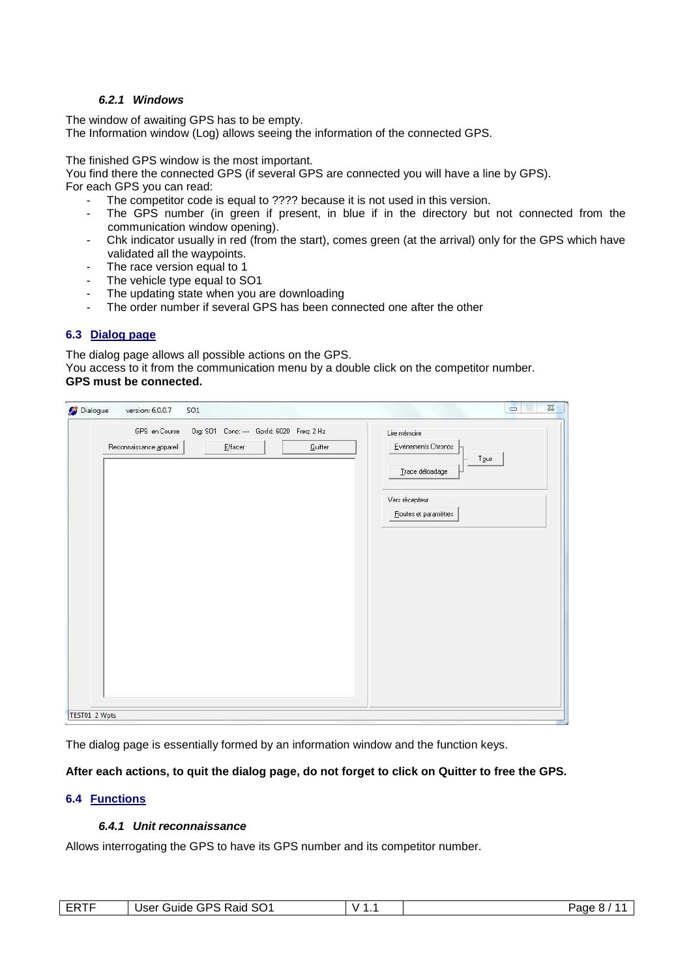#### **6.2.1 Windows**

The window of awaiting GPS has to be empty. The Information window (Log) allows seeing the information of the connected GPS.

The finished GPS window is the most important.

You find there the connected GPS (if several GPS are connected you will have a line by GPS).

For each GPS you can read:

- The competitor code is equal to ???? because it is not used in this version.<br>- The GPS number (in green if present in blue if in the directory but
- The GPS number (in green if present, in blue if in the directory but not connected from the communication window opening).
- Chk indicator usually in red (from the start), comes green (at the arrival) only for the GPS which have validated all the waypoints.
- The race version equal to 1
- The vehicle type equal to SO1
- The updating state when you are downloading
- The order number if several GPS has been connected one after the other

#### **6.3 Dialog page**

The dialog page allows all possible actions on the GPS. You access to it from the communication menu by a double click on the competitor number. **GPS must be connected.** 

| GPS en Course           | Org: SO1 Conc: --- Gpsld: 6020 Freq: 2 Hz |                         |
|-------------------------|-------------------------------------------|-------------------------|
|                         |                                           | Lire mémoire            |
| Reconnaissance appareil | $E$ ffacer<br>Quitter                     | Evénements Chronos      |
|                         |                                           | Tous<br>Trace déloadage |
|                         |                                           | Vers récepteur          |
|                         |                                           | Routes et paramètres    |
|                         |                                           |                         |
|                         |                                           |                         |
|                         |                                           |                         |
|                         |                                           |                         |
|                         |                                           |                         |
|                         |                                           |                         |
|                         |                                           |                         |
|                         |                                           |                         |
|                         |                                           |                         |
|                         |                                           |                         |
|                         |                                           |                         |
|                         |                                           |                         |
|                         |                                           |                         |

The dialog page is essentially formed by an information window and the function keys.

### **After each actions, to quit the dialog page, do not forget to click on Quitter to free the GPS.**

#### **6.4 Functions**

#### **6.4.1 Unit reconnaissance**

Allows interrogating the GPS to have its GPS number and its competitor number.

| ----<br>SO <sub>1</sub><br>Raid<br>GPS :<br>User<br>∶ uldeن<br>ERL. | -<br>v | ⊵aαe<br>.<br>O. |
|---------------------------------------------------------------------|--------|-----------------|
|---------------------------------------------------------------------|--------|-----------------|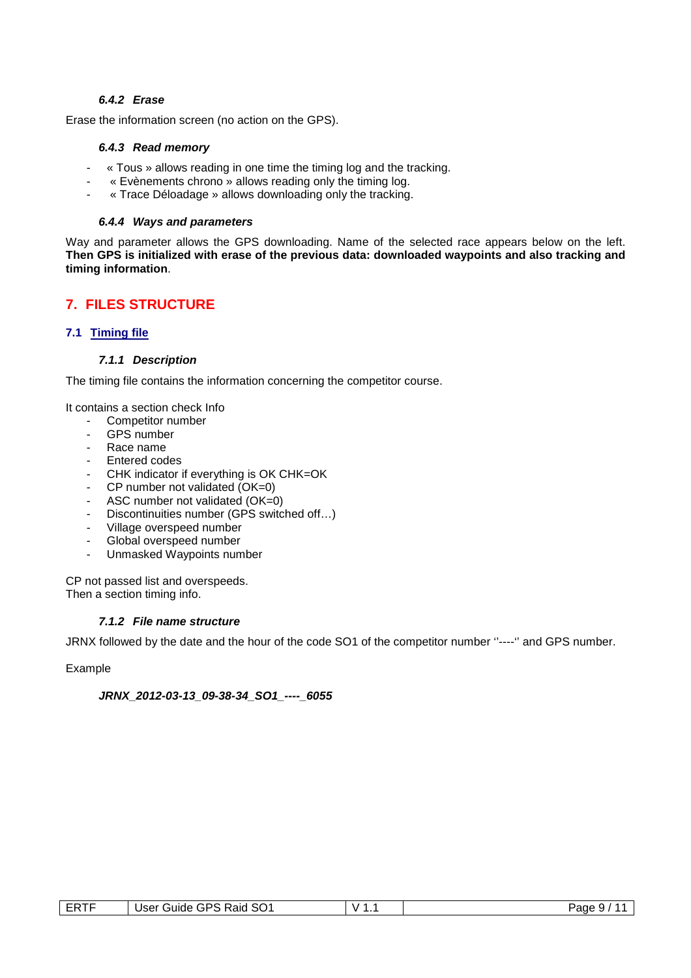#### **6.4.2 Erase**

Erase the information screen (no action on the GPS).

#### **6.4.3 Read memory**

- « Tous » allows reading in one time the timing log and the tracking.
- « Evènements chrono » allows reading only the timing log.
- « Trace Déloadage » allows downloading only the tracking.

#### **6.4.4 Ways and parameters**

Way and parameter allows the GPS downloading. Name of the selected race appears below on the left. **Then GPS is initialized with erase of the previous data: downloaded waypoints and also tracking and timing information**.

# **7. FILES STRUCTURE**

#### **7.1 Timing file**

#### **7.1.1 Description**

The timing file contains the information concerning the competitor course.

It contains a section check Info

- Competitor number
- GPS number
- Race name
- Entered codes
- CHK indicator if everything is OK CHK=OK
- CP number not validated (OK=0)
- ASC number not validated (OK=0)
- Discontinuities number (GPS switched off…)
- Village overspeed number
- Global overspeed number
- Unmasked Waypoints number

CP not passed list and overspeeds. Then a section timing info.

#### **7.1.2 File name structure**

JRNX followed by the date and the hour of the code SO1 of the competitor number ''----'' and GPS number.

Example

**JRNX\_2012-03-13\_09-38-34\_SO1\_----\_6055** 

| <b>ERTF</b> | GPS Raid SO1 | `   | Page |
|-------------|--------------|-----|------|
|             | User         | . . | u    |
|             | ′ uideفu     |     | ີ    |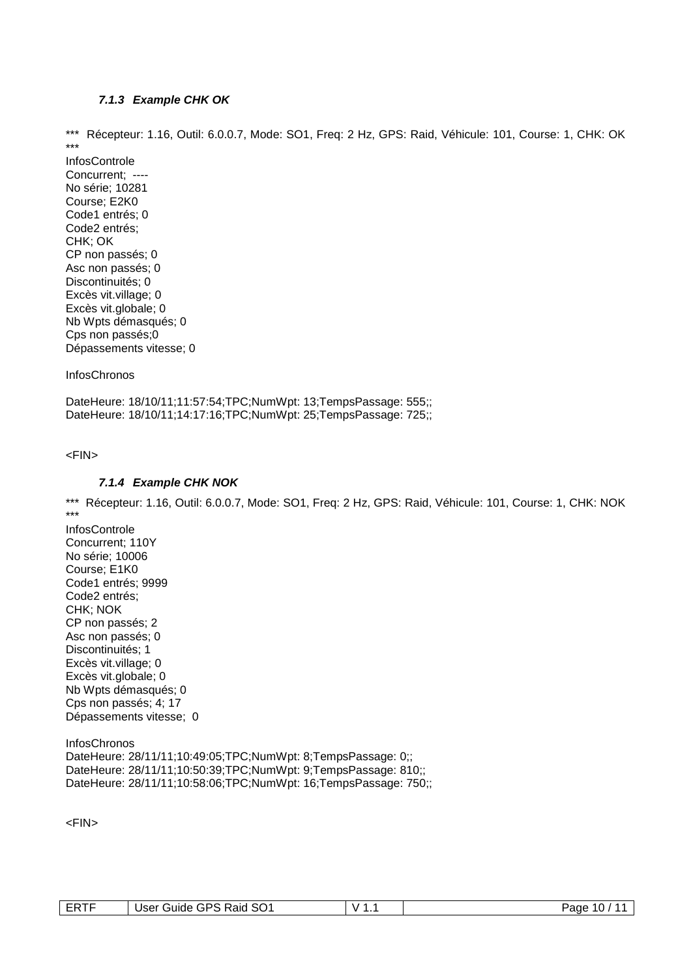#### **7.1.3 Example CHK OK**

\*\*\* Récepteur: 1.16, Outil: 6.0.0.7, Mode: SO1, Freq: 2 Hz, GPS: Raid, Véhicule: 101, Course: 1, CHK: OK \*\*\*

InfosControle Concurrent; ---- No série; 10281 Course; E2K0 Code1 entrés; 0 Code2 entrés; CHK; OK CP non passés; 0 Asc non passés; 0 Discontinuités; 0 Excès vit.village; 0 Excès vit.globale; 0 Nb Wpts démasqués; 0 Cps non passés;0 Dépassements vitesse; 0

**InfosChronos** 

DateHeure: 18/10/11;11:57:54;TPC;NumWpt: 13;TempsPassage: 555;; DateHeure: 18/10/11;14:17:16;TPC;NumWpt: 25;TempsPassage: 725;;

<FIN>

#### **7.1.4 Example CHK NOK**

\*\*\* Récepteur: 1.16, Outil: 6.0.0.7, Mode: SO1, Freq: 2 Hz, GPS: Raid, Véhicule: 101, Course: 1, CHK: NOK \*\*\*

InfosControle Concurrent; 110Y No série; 10006 Course; E1K0 Code1 entrés; 9999 Code2 entrés; CHK; NOK CP non passés; 2 Asc non passés; 0 Discontinuités; 1 Excès vit.village; 0 Excès vit.globale; 0 Nb Wpts démasqués; 0 Cps non passés; 4; 17 Dépassements vitesse; 0

**InfosChronos** DateHeure: 28/11/11;10:49:05;TPC;NumWpt: 8;TempsPassage: 0;; DateHeure: 28/11/11;10:50:39;TPC;NumWpt: 9;TempsPassage: 810;; DateHeure: 28/11/11;10:58:06;TPC;NumWpt: 16;TempsPassage: 750;;

<FIN>

| ⊢₩ | SO <sub>1</sub><br>, Raid<br>GPS<br>Jser<br>′ uldeٽ<br>___ | . .<br>v | Page<br>. U . |
|----|------------------------------------------------------------|----------|---------------|